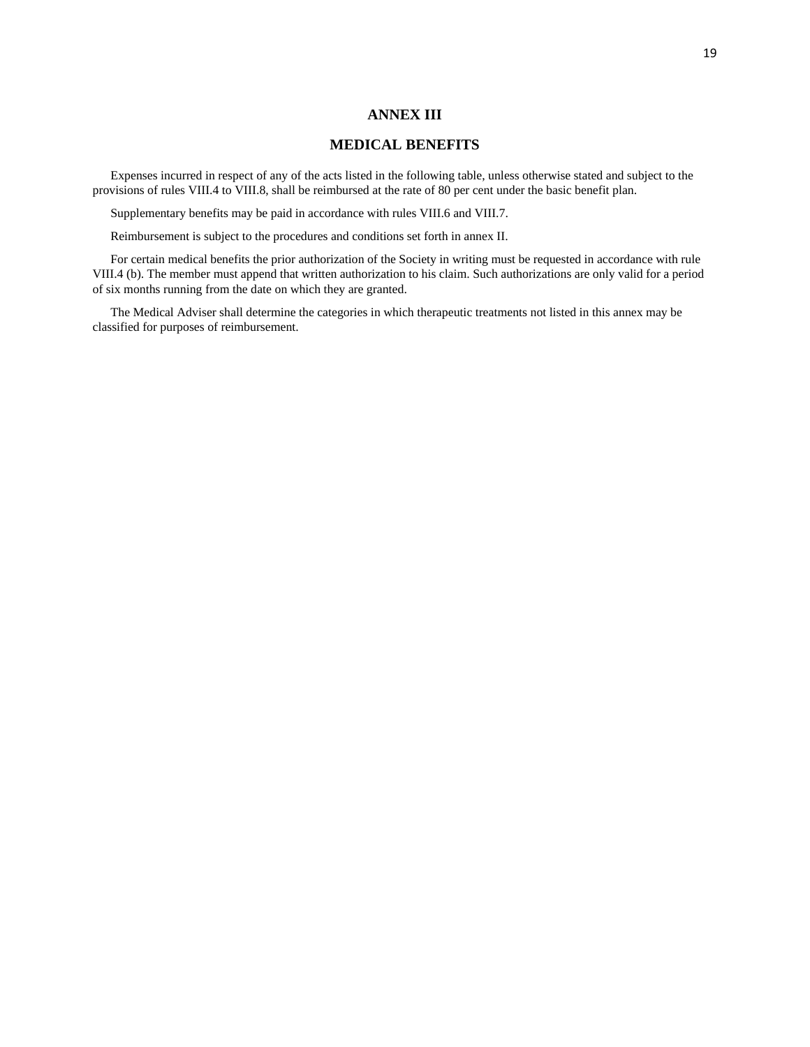## **ANNEX III**

## **MEDICAL BENEFITS**

Expenses incurred in respect of any of the acts listed in the following table, unless otherwise stated and subject to the provisions of rules VIII.4 to VIII.8, shall be reimbursed at the rate of 80 per cent under the basic benefit plan.

Supplementary benefits may be paid in accordance with rules VIII.6 and VIII.7.

Reimbursement is subject to the procedures and conditions set forth in annex II.

For certain medical benefits the prior authorization of the Society in writing must be requested in accordance with rule VIII.4 (b). The member must append that written authorization to his claim. Such authorizations are only valid for a period of six months running from the date on which they are granted.

The Medical Adviser shall determine the categories in which therapeutic treatments not listed in this annex may be classified for purposes of reimbursement.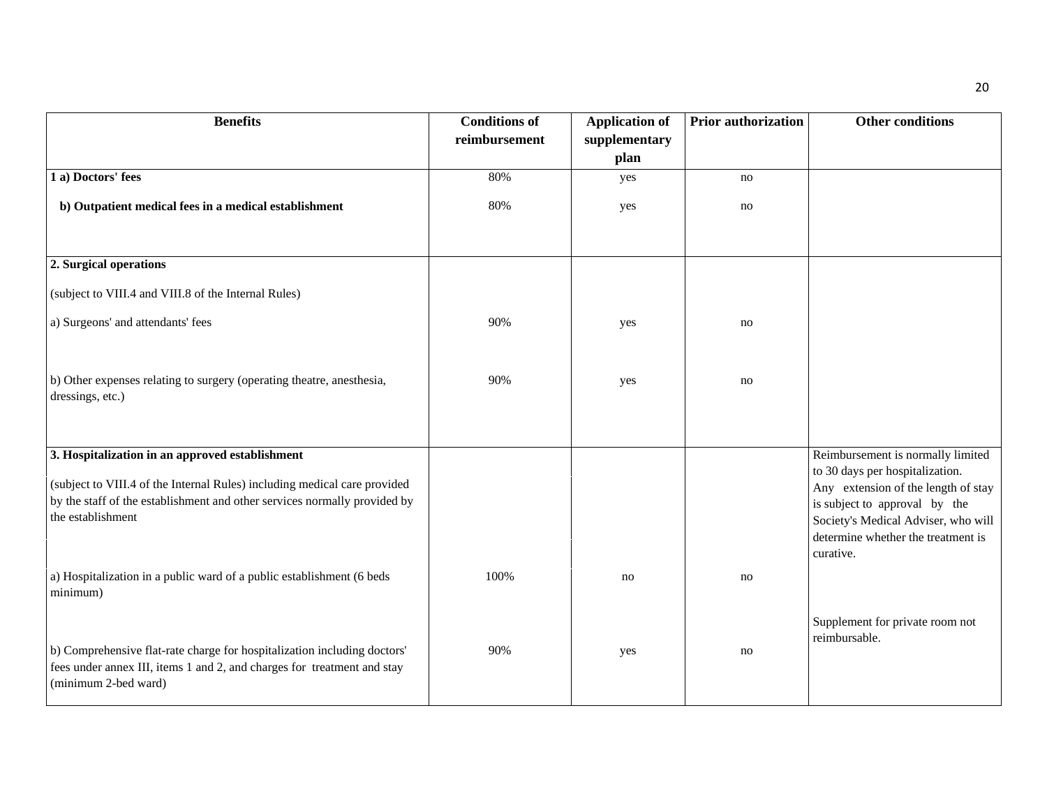| <b>Benefits</b>                                                                                                                                                                                                                                                                                         | <b>Conditions of</b><br>reimbursement | <b>Application of</b><br>supplementary | Prior authorization | <b>Other conditions</b>                                                                                                                                                                                                                |
|---------------------------------------------------------------------------------------------------------------------------------------------------------------------------------------------------------------------------------------------------------------------------------------------------------|---------------------------------------|----------------------------------------|---------------------|----------------------------------------------------------------------------------------------------------------------------------------------------------------------------------------------------------------------------------------|
|                                                                                                                                                                                                                                                                                                         |                                       | plan                                   |                     |                                                                                                                                                                                                                                        |
| 1 a) Doctors' fees                                                                                                                                                                                                                                                                                      | 80%                                   | yes                                    | no                  |                                                                                                                                                                                                                                        |
| b) Outpatient medical fees in a medical establishment                                                                                                                                                                                                                                                   | 80%                                   | yes                                    | no                  |                                                                                                                                                                                                                                        |
| 2. Surgical operations                                                                                                                                                                                                                                                                                  |                                       |                                        |                     |                                                                                                                                                                                                                                        |
| (subject to VIII.4 and VIII.8 of the Internal Rules)                                                                                                                                                                                                                                                    |                                       |                                        |                     |                                                                                                                                                                                                                                        |
| a) Surgeons' and attendants' fees                                                                                                                                                                                                                                                                       | 90%                                   | yes                                    | no                  |                                                                                                                                                                                                                                        |
| b) Other expenses relating to surgery (operating theatre, anesthesia,<br>dressings, etc.)                                                                                                                                                                                                               | 90%                                   | yes                                    | no                  |                                                                                                                                                                                                                                        |
| 3. Hospitalization in an approved establishment<br>(subject to VIII.4 of the Internal Rules) including medical care provided<br>by the staff of the establishment and other services normally provided by<br>the establishment<br>a) Hospitalization in a public ward of a public establishment (6 beds | 100%                                  | no                                     | no                  | Reimbursement is normally limited<br>to 30 days per hospitalization.<br>Any extension of the length of stay<br>is subject to approval by the<br>Society's Medical Adviser, who will<br>determine whether the treatment is<br>curative. |
| minimum)                                                                                                                                                                                                                                                                                                |                                       |                                        |                     |                                                                                                                                                                                                                                        |
| b) Comprehensive flat-rate charge for hospitalization including doctors'<br>fees under annex III, items 1 and 2, and charges for treatment and stay<br>(minimum 2-bed ward)                                                                                                                             | 90%                                   | yes                                    | no                  | Supplement for private room not<br>reimbursable.                                                                                                                                                                                       |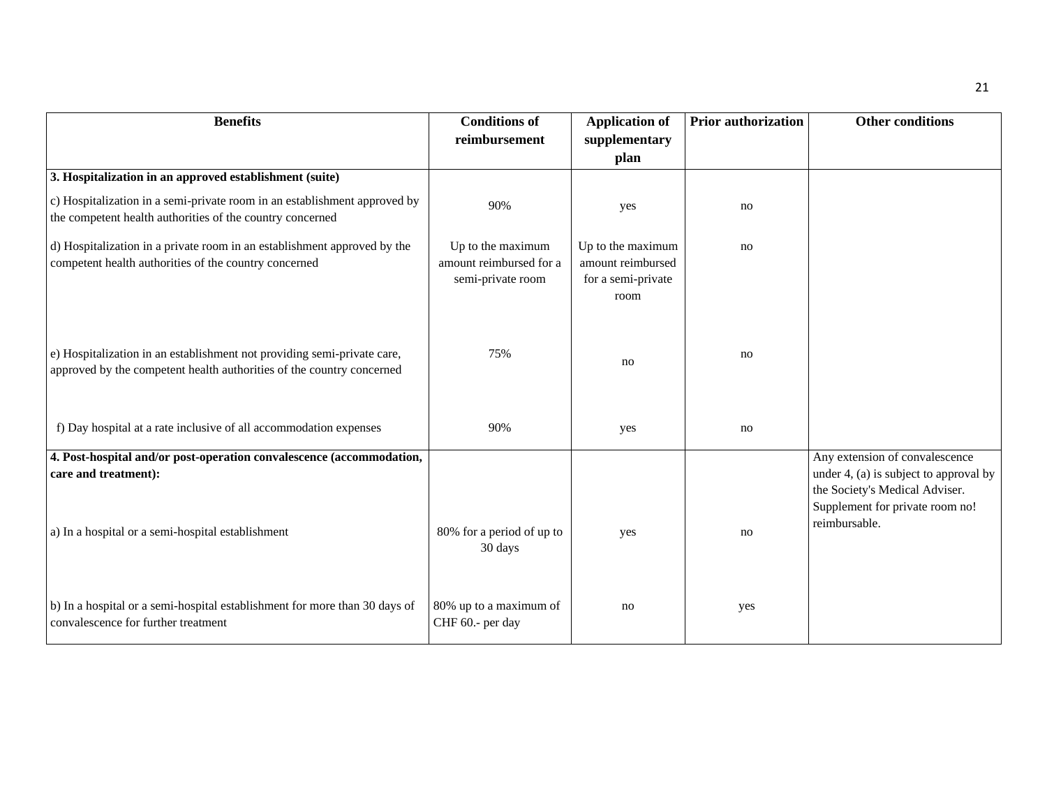| <b>Benefits</b>                                                                                                                                   | <b>Conditions of</b>                                              | <b>Application of</b>                                                | Prior authorization | <b>Other conditions</b>                                                                                                                                        |
|---------------------------------------------------------------------------------------------------------------------------------------------------|-------------------------------------------------------------------|----------------------------------------------------------------------|---------------------|----------------------------------------------------------------------------------------------------------------------------------------------------------------|
|                                                                                                                                                   | reimbursement                                                     | supplementary                                                        |                     |                                                                                                                                                                |
|                                                                                                                                                   |                                                                   | plan                                                                 |                     |                                                                                                                                                                |
| 3. Hospitalization in an approved establishment (suite)                                                                                           |                                                                   |                                                                      |                     |                                                                                                                                                                |
| c) Hospitalization in a semi-private room in an establishment approved by<br>the competent health authorities of the country concerned            | 90%                                                               | yes                                                                  | no                  |                                                                                                                                                                |
| d) Hospitalization in a private room in an establishment approved by the<br>competent health authorities of the country concerned                 | Up to the maximum<br>amount reimbursed for a<br>semi-private room | Up to the maximum<br>amount reimbursed<br>for a semi-private<br>room | no                  |                                                                                                                                                                |
| e) Hospitalization in an establishment not providing semi-private care,<br>approved by the competent health authorities of the country concerned  | 75%                                                               | no                                                                   | no                  |                                                                                                                                                                |
| f) Day hospital at a rate inclusive of all accommodation expenses                                                                                 | 90%                                                               | yes                                                                  | no                  |                                                                                                                                                                |
| 4. Post-hospital and/or post-operation convalescence (accommodation,<br>care and treatment):<br>a) In a hospital or a semi-hospital establishment | 80% for a period of up to                                         | yes                                                                  | no                  | Any extension of convalescence<br>under 4, (a) is subject to approval by<br>the Society's Medical Adviser.<br>Supplement for private room no!<br>reimbursable. |
| b) In a hospital or a semi-hospital establishment for more than 30 days of<br>convalescence for further treatment                                 | 30 days<br>80% up to a maximum of<br>CHF 60.- per day             | no                                                                   | yes                 |                                                                                                                                                                |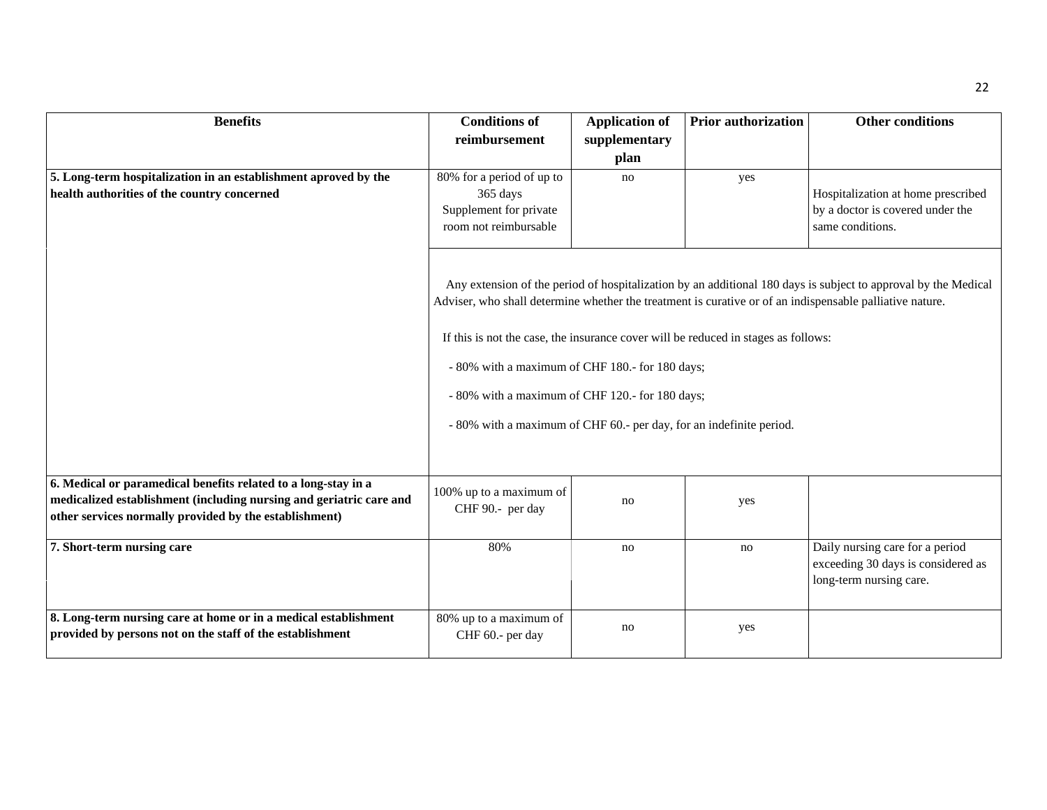| <b>Benefits</b>                                                     | <b>Conditions of</b>                                                                                                                                                                                                                                                                                             | <b>Application of</b> | <b>Prior authorization</b> | <b>Other conditions</b>                                                                          |  |
|---------------------------------------------------------------------|------------------------------------------------------------------------------------------------------------------------------------------------------------------------------------------------------------------------------------------------------------------------------------------------------------------|-----------------------|----------------------------|--------------------------------------------------------------------------------------------------|--|
|                                                                     | reimbursement                                                                                                                                                                                                                                                                                                    | supplementary         |                            |                                                                                                  |  |
|                                                                     |                                                                                                                                                                                                                                                                                                                  | plan                  |                            |                                                                                                  |  |
|                                                                     |                                                                                                                                                                                                                                                                                                                  |                       |                            |                                                                                                  |  |
| 5. Long-term hospitalization in an establishment aproved by the     | 80% for a period of up to                                                                                                                                                                                                                                                                                        | no                    | yes                        |                                                                                                  |  |
| health authorities of the country concerned                         | 365 days                                                                                                                                                                                                                                                                                                         |                       |                            | Hospitalization at home prescribed                                                               |  |
|                                                                     | Supplement for private<br>room not reimbursable                                                                                                                                                                                                                                                                  |                       |                            | by a doctor is covered under the<br>same conditions.                                             |  |
|                                                                     |                                                                                                                                                                                                                                                                                                                  |                       |                            |                                                                                                  |  |
|                                                                     | Any extension of the period of hospitalization by an additional 180 days is subject to approval by the Medical<br>Adviser, who shall determine whether the treatment is curative or of an indispensable palliative nature.<br>If this is not the case, the insurance cover will be reduced in stages as follows: |                       |                            |                                                                                                  |  |
|                                                                     | - 80% with a maximum of CHF 180.- for 180 days;                                                                                                                                                                                                                                                                  |                       |                            |                                                                                                  |  |
|                                                                     | - 80% with a maximum of CHF 120.- for 180 days;                                                                                                                                                                                                                                                                  |                       |                            |                                                                                                  |  |
|                                                                     | - 80% with a maximum of CHF 60.- per day, for an indefinite period.                                                                                                                                                                                                                                              |                       |                            |                                                                                                  |  |
| 6. Medical or paramedical benefits related to a long-stay in a      |                                                                                                                                                                                                                                                                                                                  |                       |                            |                                                                                                  |  |
| medicalized establishment (including nursing and geriatric care and | 100% up to a maximum of                                                                                                                                                                                                                                                                                          | no                    | yes                        |                                                                                                  |  |
| other services normally provided by the establishment)              | CHF 90 .- per day                                                                                                                                                                                                                                                                                                |                       |                            |                                                                                                  |  |
| 7. Short-term nursing care                                          | 80%                                                                                                                                                                                                                                                                                                              | no                    | no                         | Daily nursing care for a period<br>exceeding 30 days is considered as<br>long-term nursing care. |  |
| 8. Long-term nursing care at home or in a medical establishment     | 80% up to a maximum of                                                                                                                                                                                                                                                                                           | no                    | yes                        |                                                                                                  |  |
| provided by persons not on the staff of the establishment           | CHF 60.- per day                                                                                                                                                                                                                                                                                                 |                       |                            |                                                                                                  |  |
|                                                                     |                                                                                                                                                                                                                                                                                                                  |                       |                            |                                                                                                  |  |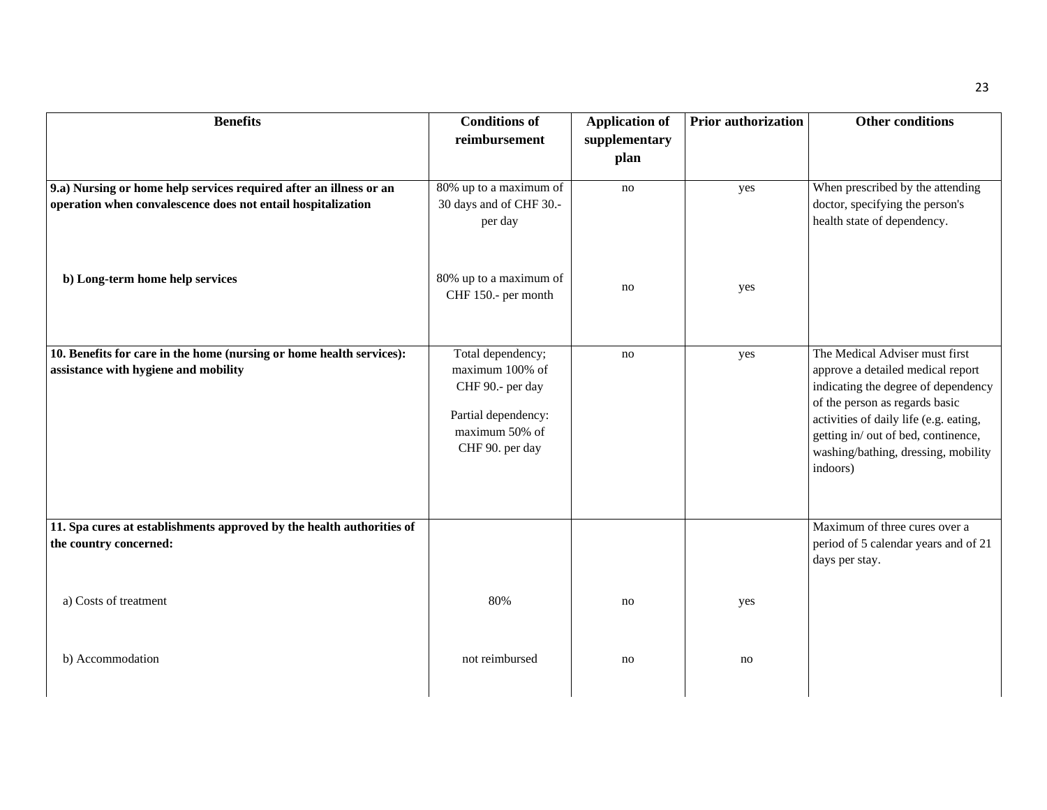| <b>Benefits</b>                                                                                                                    | <b>Conditions of</b><br>reimbursement                                                                                 | <b>Application of</b><br>supplementary | Prior authorization | <b>Other conditions</b>                                                                                                                                                                                                                                                          |
|------------------------------------------------------------------------------------------------------------------------------------|-----------------------------------------------------------------------------------------------------------------------|----------------------------------------|---------------------|----------------------------------------------------------------------------------------------------------------------------------------------------------------------------------------------------------------------------------------------------------------------------------|
|                                                                                                                                    |                                                                                                                       | plan                                   |                     |                                                                                                                                                                                                                                                                                  |
| 9.a) Nursing or home help services required after an illness or an<br>operation when convalescence does not entail hospitalization | 80% up to a maximum of<br>30 days and of CHF 30 .-<br>per day                                                         | no                                     | yes                 | When prescribed by the attending<br>doctor, specifying the person's<br>health state of dependency.                                                                                                                                                                               |
| b) Long-term home help services                                                                                                    | 80% up to a maximum of<br>CHF 150.- per month                                                                         | no                                     | yes                 |                                                                                                                                                                                                                                                                                  |
| 10. Benefits for care in the home (nursing or home health services):<br>assistance with hygiene and mobility                       | Total dependency;<br>maximum 100% of<br>CHF 90 .- per day<br>Partial dependency:<br>maximum 50% of<br>CHF 90. per day | no                                     | yes                 | The Medical Adviser must first<br>approve a detailed medical report<br>indicating the degree of dependency<br>of the person as regards basic<br>activities of daily life (e.g. eating,<br>getting in/ out of bed, continence,<br>washing/bathing, dressing, mobility<br>indoors) |
| 11. Spa cures at establishments approved by the health authorities of<br>the country concerned:                                    |                                                                                                                       |                                        |                     | Maximum of three cures over a<br>period of 5 calendar years and of 21<br>days per stay.                                                                                                                                                                                          |
| a) Costs of treatment                                                                                                              | 80%                                                                                                                   | no                                     | yes                 |                                                                                                                                                                                                                                                                                  |
| b) Accommodation                                                                                                                   | not reimbursed                                                                                                        | no                                     | no                  |                                                                                                                                                                                                                                                                                  |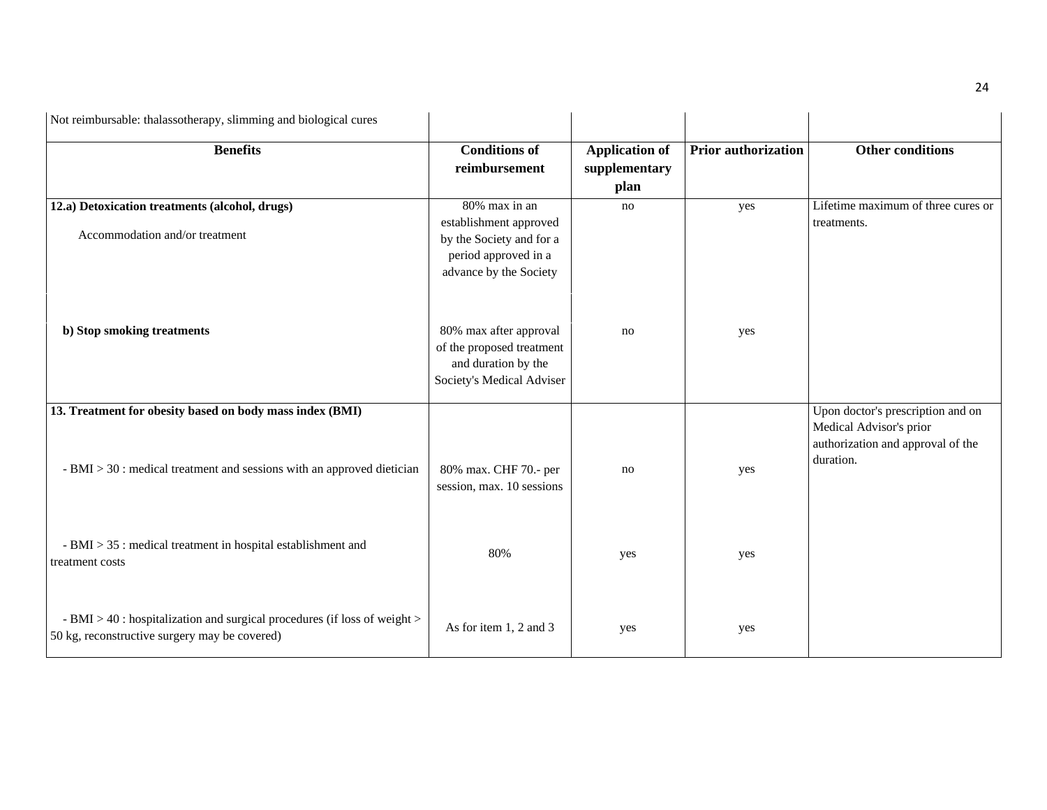| Not reimbursable: thalassotherapy, slimming and biological cures                                                           |                                                                                                                       |                                                |                            |                                                                           |
|----------------------------------------------------------------------------------------------------------------------------|-----------------------------------------------------------------------------------------------------------------------|------------------------------------------------|----------------------------|---------------------------------------------------------------------------|
| <b>Benefits</b>                                                                                                            | <b>Conditions of</b><br>reimbursement                                                                                 | <b>Application of</b><br>supplementary<br>plan | <b>Prior authorization</b> | <b>Other conditions</b>                                                   |
| 12.a) Detoxication treatments (alcohol, drugs)<br>Accommodation and/or treatment                                           | 80% max in an<br>establishment approved<br>by the Society and for a<br>period approved in a<br>advance by the Society | no                                             | yes                        | Lifetime maximum of three cures or<br>treatments.                         |
| b) Stop smoking treatments                                                                                                 | 80% max after approval<br>of the proposed treatment<br>and duration by the<br>Society's Medical Adviser               | no                                             | yes                        |                                                                           |
| 13. Treatment for obesity based on body mass index (BMI)                                                                   |                                                                                                                       |                                                |                            | Upon doctor's prescription and on                                         |
| $-BMI > 30$ : medical treatment and sessions with an approved dietician                                                    | 80% max. CHF 70.- per<br>session, max. 10 sessions                                                                    | no                                             | yes                        | Medical Advisor's prior<br>authorization and approval of the<br>duration. |
| - BMI > 35 : medical treatment in hospital establishment and<br>treatment costs                                            | 80%                                                                                                                   | yes                                            | yes                        |                                                                           |
| - BMI > 40 : hospitalization and surgical procedures (if loss of weight ><br>50 kg, reconstructive surgery may be covered) | As for item 1, 2 and 3                                                                                                | yes                                            | yes                        |                                                                           |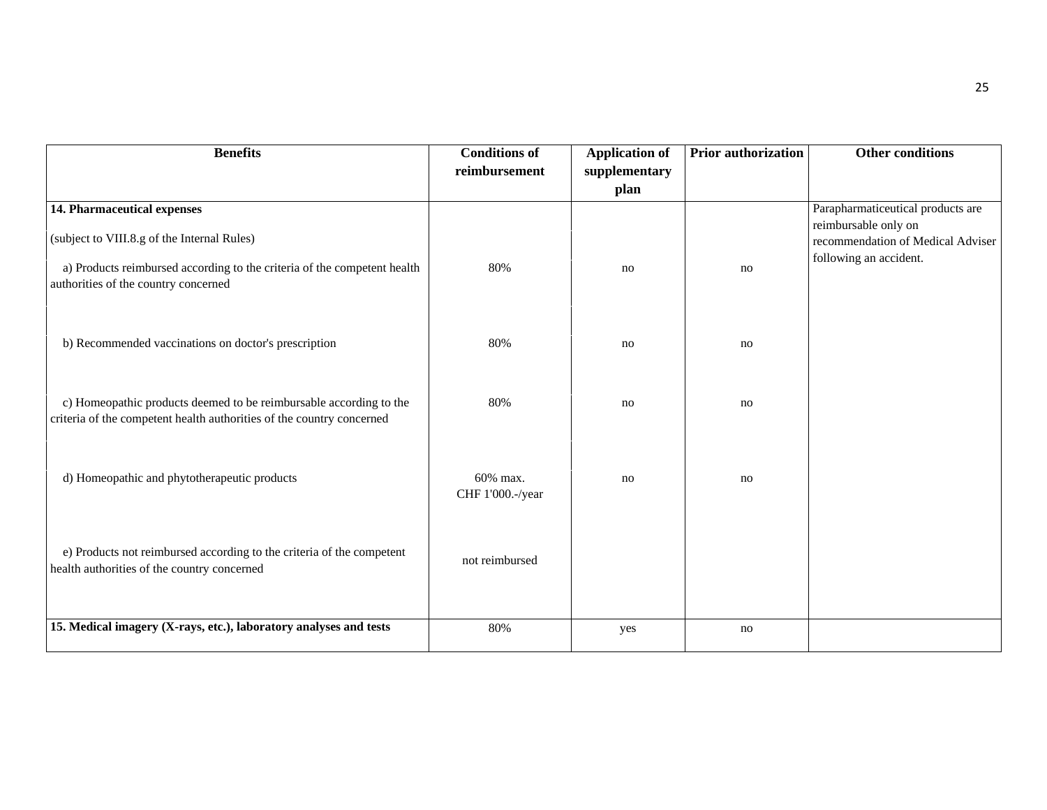| <b>Benefits</b>                                                                                                                                                                                | <b>Conditions of</b>         | <b>Application of</b> | <b>Prior authorization</b> | Other conditions                                                                                                         |
|------------------------------------------------------------------------------------------------------------------------------------------------------------------------------------------------|------------------------------|-----------------------|----------------------------|--------------------------------------------------------------------------------------------------------------------------|
|                                                                                                                                                                                                | reimbursement                | supplementary<br>plan |                            |                                                                                                                          |
| 14. Pharmaceutical expenses<br>(subject to VIII.8.g of the Internal Rules)<br>a) Products reimbursed according to the criteria of the competent health<br>authorities of the country concerned | 80%                          | no                    | no                         | Parapharmaticeutical products are<br>reimbursable only on<br>recommendation of Medical Adviser<br>following an accident. |
| b) Recommended vaccinations on doctor's prescription                                                                                                                                           | 80%                          | no                    | no                         |                                                                                                                          |
| c) Homeopathic products deemed to be reimbursable according to the<br>criteria of the competent health authorities of the country concerned                                                    | 80%                          | no                    | no                         |                                                                                                                          |
| d) Homeopathic and phytotherapeutic products                                                                                                                                                   | 60% max.<br>CHF 1'000.-/year | no                    | no                         |                                                                                                                          |
| e) Products not reimbursed according to the criteria of the competent<br>health authorities of the country concerned                                                                           | not reimbursed               |                       |                            |                                                                                                                          |
| 15. Medical imagery (X-rays, etc.), laboratory analyses and tests                                                                                                                              | 80%                          | yes                   | no                         |                                                                                                                          |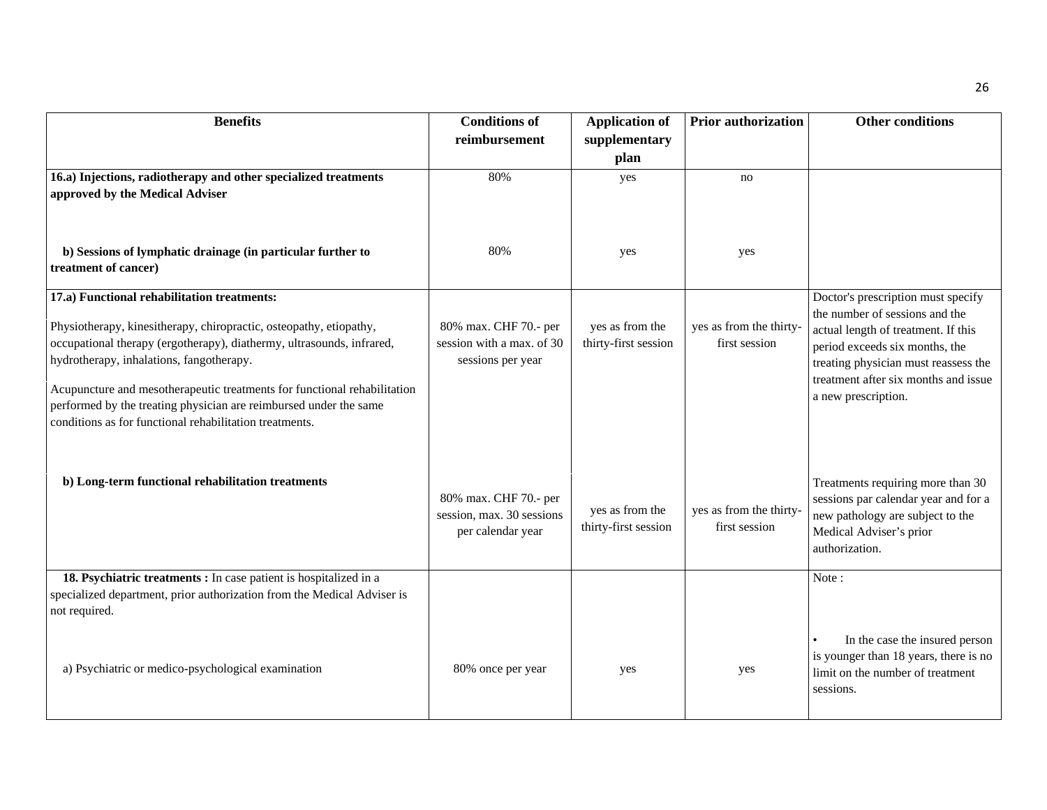| <b>Benefits</b>                                                                                                   | <b>Conditions of</b>                               | <b>Application of</b> | <b>Prior authorization</b>               | <b>Other conditions</b>                                                 |
|-------------------------------------------------------------------------------------------------------------------|----------------------------------------------------|-----------------------|------------------------------------------|-------------------------------------------------------------------------|
|                                                                                                                   | reimbursement                                      | supplementary         |                                          |                                                                         |
|                                                                                                                   |                                                    | plan                  |                                          |                                                                         |
| 16.a) Injections, radiotherapy and other specialized treatments                                                   | 80%                                                | yes                   | no                                       |                                                                         |
| approved by the Medical Adviser                                                                                   |                                                    |                       |                                          |                                                                         |
|                                                                                                                   |                                                    |                       |                                          |                                                                         |
|                                                                                                                   |                                                    |                       |                                          |                                                                         |
| b) Sessions of lymphatic drainage (in particular further to<br>treatment of cancer)                               | 80%                                                | yes                   | yes                                      |                                                                         |
|                                                                                                                   |                                                    |                       |                                          |                                                                         |
| 17.a) Functional rehabilitation treatments:                                                                       |                                                    |                       |                                          | Doctor's prescription must specify                                      |
|                                                                                                                   |                                                    |                       |                                          | the number of sessions and the                                          |
| Physiotherapy, kinesitherapy, chiropractic, osteopathy, etiopathy,                                                | 80% max. CHF 70.- per<br>session with a max. of 30 | yes as from the       | yes as from the thirty-<br>first session | actual length of treatment. If this                                     |
| occupational therapy (ergotherapy), diathermy, ultrasounds, infrared,<br>hydrotherapy, inhalations, fangotherapy. | sessions per year                                  | thirty-first session  |                                          | period exceeds six months, the                                          |
|                                                                                                                   |                                                    |                       |                                          | treating physician must reassess the                                    |
| Acupuncture and mesotherapeutic treatments for functional rehabilitation                                          |                                                    |                       |                                          | treatment after six months and issue<br>a new prescription.             |
| performed by the treating physician are reimbursed under the same                                                 |                                                    |                       |                                          |                                                                         |
| conditions as for functional rehabilitation treatments.                                                           |                                                    |                       |                                          |                                                                         |
|                                                                                                                   |                                                    |                       |                                          |                                                                         |
|                                                                                                                   |                                                    |                       |                                          |                                                                         |
| b) Long-term functional rehabilitation treatments                                                                 |                                                    |                       |                                          | Treatments requiring more than 30                                       |
|                                                                                                                   | 80% max. CHF 70.- per                              |                       |                                          | sessions par calendar year and for a                                    |
|                                                                                                                   | session, max. 30 sessions                          | yes as from the       | yes as from the thirty-                  | new pathology are subject to the                                        |
|                                                                                                                   | per calendar year                                  | thirty-first session  | first session                            | Medical Adviser's prior                                                 |
|                                                                                                                   |                                                    |                       |                                          | authorization.                                                          |
| 18. Psychiatric treatments : In case patient is hospitalized in a                                                 |                                                    |                       |                                          | Note:                                                                   |
| specialized department, prior authorization from the Medical Adviser is                                           |                                                    |                       |                                          |                                                                         |
| not required.                                                                                                     |                                                    |                       |                                          |                                                                         |
|                                                                                                                   |                                                    |                       |                                          |                                                                         |
|                                                                                                                   |                                                    |                       |                                          | In the case the insured person<br>is younger than 18 years, there is no |
| a) Psychiatric or medico-psychological examination                                                                | 80% once per year                                  | yes                   | yes                                      | limit on the number of treatment                                        |
|                                                                                                                   |                                                    |                       |                                          | sessions.                                                               |
|                                                                                                                   |                                                    |                       |                                          |                                                                         |
|                                                                                                                   |                                                    |                       |                                          |                                                                         |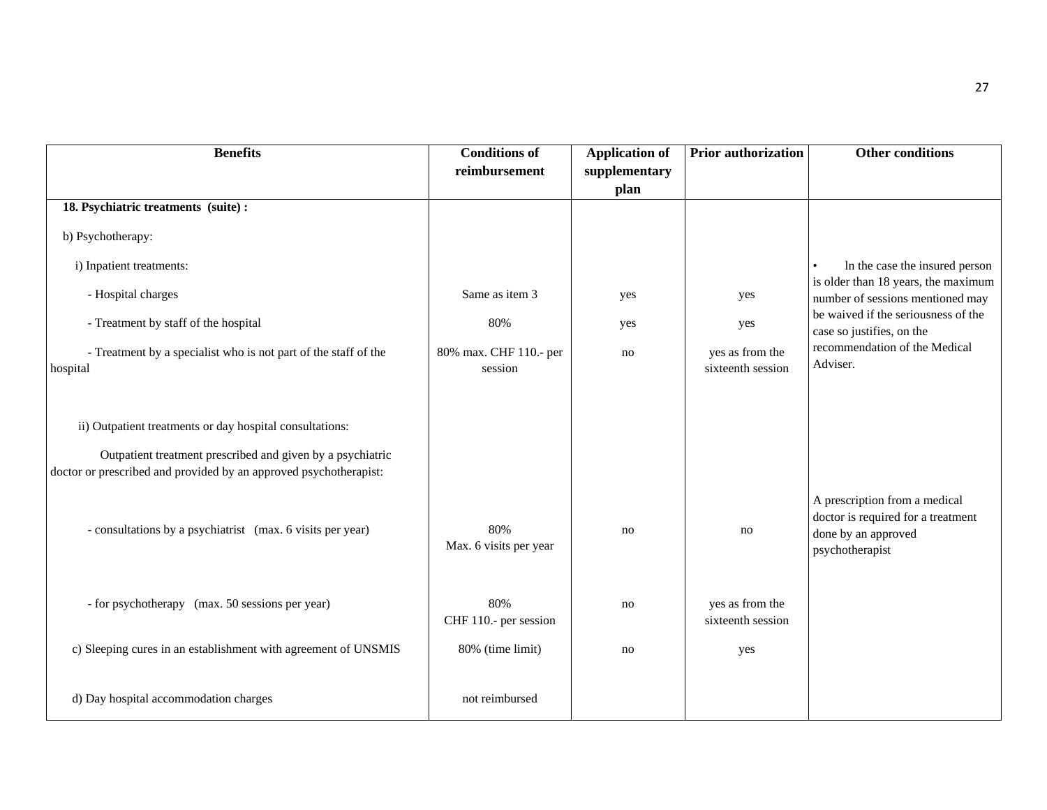| <b>Benefits</b>                                                                                                        | <b>Conditions of</b>              | <b>Application of</b> | <b>Prior authorization</b>           | <b>Other conditions</b>                                                                                       |
|------------------------------------------------------------------------------------------------------------------------|-----------------------------------|-----------------------|--------------------------------------|---------------------------------------------------------------------------------------------------------------|
|                                                                                                                        | reimbursement                     | supplementary         |                                      |                                                                                                               |
|                                                                                                                        |                                   | plan                  |                                      |                                                                                                               |
| 18. Psychiatric treatments (suite):                                                                                    |                                   |                       |                                      |                                                                                                               |
| b) Psychotherapy:                                                                                                      |                                   |                       |                                      |                                                                                                               |
| i) Inpatient treatments:                                                                                               |                                   |                       |                                      | In the case the insured person<br>$\bullet$<br>is older than 18 years, the maximum                            |
| - Hospital charges                                                                                                     | Same as item 3                    | yes                   | yes                                  | number of sessions mentioned may                                                                              |
| - Treatment by staff of the hospital                                                                                   | 80%                               | yes                   | yes                                  | be waived if the seriousness of the<br>case so justifies, on the                                              |
| - Treatment by a specialist who is not part of the staff of the                                                        | 80% max. CHF 110.- per<br>session | no                    | yes as from the<br>sixteenth session | recommendation of the Medical<br>Adviser.                                                                     |
| hospital                                                                                                               |                                   |                       |                                      |                                                                                                               |
| ii) Outpatient treatments or day hospital consultations:<br>Outpatient treatment prescribed and given by a psychiatric |                                   |                       |                                      |                                                                                                               |
| doctor or prescribed and provided by an approved psychotherapist:                                                      |                                   |                       |                                      |                                                                                                               |
| - consultations by a psychiatrist (max. 6 visits per year)                                                             | 80%<br>Max. 6 visits per year     | no                    | no                                   | A prescription from a medical<br>doctor is required for a treatment<br>done by an approved<br>psychotherapist |
| - for psychotherapy (max. 50 sessions per year)                                                                        | 80%<br>CHF 110.- per session      | no                    | yes as from the<br>sixteenth session |                                                                                                               |
| c) Sleeping cures in an establishment with agreement of UNSMIS                                                         | 80% (time limit)                  | no                    | yes                                  |                                                                                                               |
| d) Day hospital accommodation charges                                                                                  | not reimbursed                    |                       |                                      |                                                                                                               |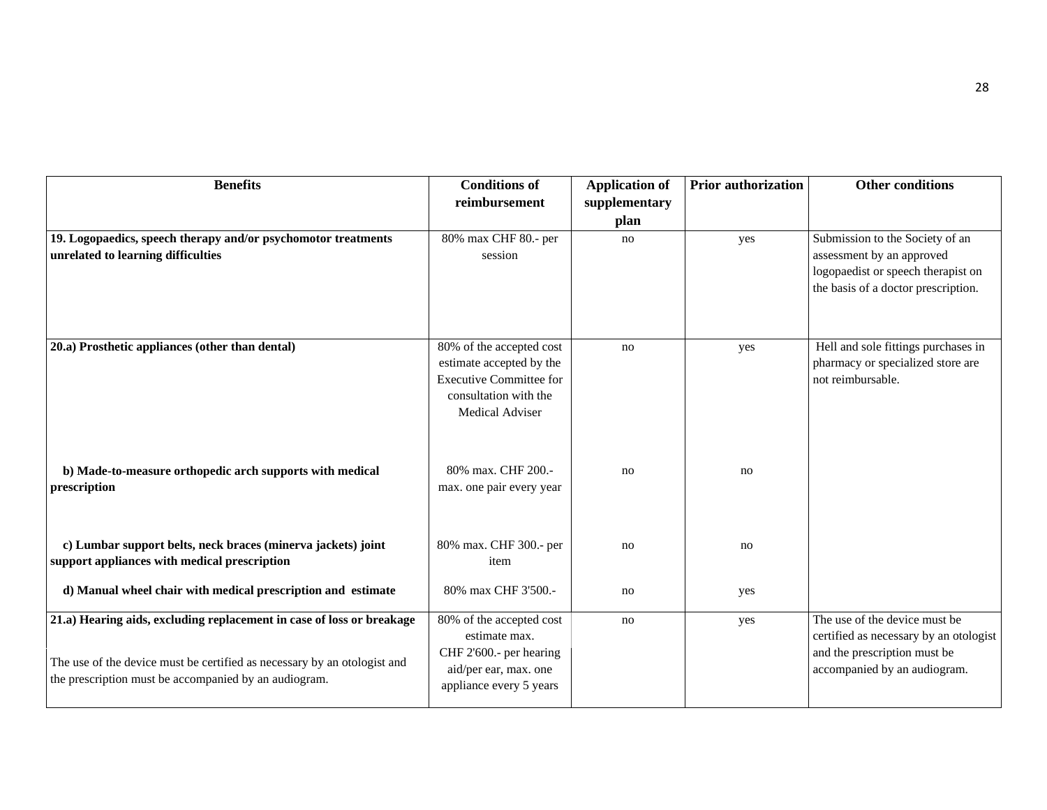| <b>Benefits</b>                                                                                                                                                                                            | <b>Conditions of</b><br>reimbursement                                                                                                     | <b>Application of</b><br>supplementary<br>plan | <b>Prior authorization</b> | <b>Other conditions</b>                                                                                                                   |
|------------------------------------------------------------------------------------------------------------------------------------------------------------------------------------------------------------|-------------------------------------------------------------------------------------------------------------------------------------------|------------------------------------------------|----------------------------|-------------------------------------------------------------------------------------------------------------------------------------------|
| 19. Logopaedics, speech therapy and/or psychomotor treatments<br>unrelated to learning difficulties                                                                                                        | 80% max CHF 80.- per<br>session                                                                                                           | no                                             | yes                        | Submission to the Society of an<br>assessment by an approved<br>logopaedist or speech therapist on<br>the basis of a doctor prescription. |
| 20.a) Prosthetic appliances (other than dental)                                                                                                                                                            | 80% of the accepted cost<br>estimate accepted by the<br><b>Executive Committee for</b><br>consultation with the<br><b>Medical Adviser</b> | no                                             | yes                        | Hell and sole fittings purchases in<br>pharmacy or specialized store are<br>not reimbursable.                                             |
| b) Made-to-measure orthopedic arch supports with medical<br>prescription                                                                                                                                   | 80% max. CHF 200.-<br>max. one pair every year                                                                                            | no                                             | no                         |                                                                                                                                           |
| c) Lumbar support belts, neck braces (minerva jackets) joint<br>support appliances with medical prescription                                                                                               | 80% max. CHF 300.- per<br>item                                                                                                            | no                                             | no                         |                                                                                                                                           |
| d) Manual wheel chair with medical prescription and estimate                                                                                                                                               | 80% max CHF 3'500 .-                                                                                                                      | no                                             | yes                        |                                                                                                                                           |
| 21.a) Hearing aids, excluding replacement in case of loss or breakage<br>The use of the device must be certified as necessary by an otologist and<br>the prescription must be accompanied by an audiogram. | 80% of the accepted cost<br>estimate max.<br>CHF 2'600.- per hearing<br>aid/per ear, max. one<br>appliance every 5 years                  | no                                             | yes                        | The use of the device must be<br>certified as necessary by an otologist<br>and the prescription must be<br>accompanied by an audiogram.   |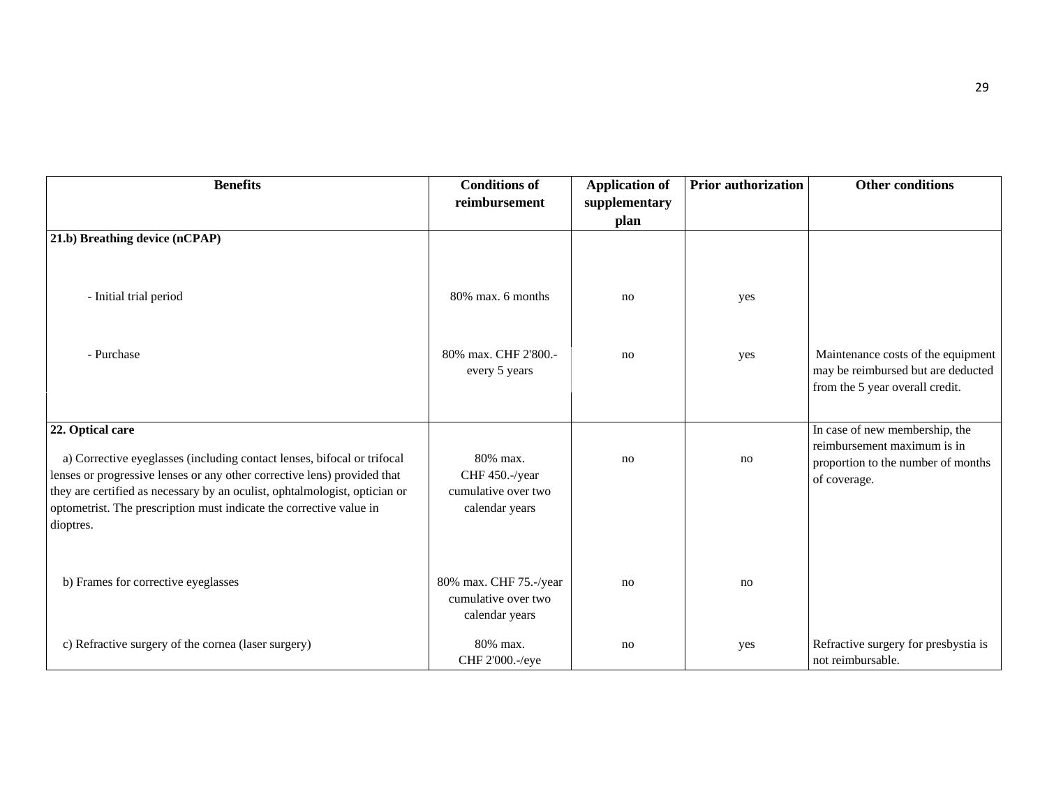| <b>Benefits</b>                                                                                                                                                                                                                                                                                                       | <b>Conditions of</b><br>reimbursement                               | <b>Application of</b><br>supplementary | <b>Prior authorization</b> | <b>Other conditions</b>                                                                                     |
|-----------------------------------------------------------------------------------------------------------------------------------------------------------------------------------------------------------------------------------------------------------------------------------------------------------------------|---------------------------------------------------------------------|----------------------------------------|----------------------------|-------------------------------------------------------------------------------------------------------------|
|                                                                                                                                                                                                                                                                                                                       |                                                                     | plan                                   |                            |                                                                                                             |
| 21.b) Breathing device (nCPAP)                                                                                                                                                                                                                                                                                        |                                                                     |                                        |                            |                                                                                                             |
| - Initial trial period                                                                                                                                                                                                                                                                                                | 80% max. 6 months                                                   | no                                     | yes                        |                                                                                                             |
| - Purchase                                                                                                                                                                                                                                                                                                            | 80% max. CHF 2'800.-<br>every 5 years                               | no                                     | yes                        | Maintenance costs of the equipment<br>may be reimbursed but are deducted<br>from the 5 year overall credit. |
| 22. Optical care                                                                                                                                                                                                                                                                                                      |                                                                     |                                        |                            | In case of new membership, the                                                                              |
| a) Corrective eyeglasses (including contact lenses, bifocal or trifocal<br>lenses or progressive lenses or any other corrective lens) provided that<br>they are certified as necessary by an oculist, ophtalmologist, optician or<br>optometrist. The prescription must indicate the corrective value in<br>dioptres. | 80% max.<br>CHF 450.-/year<br>cumulative over two<br>calendar years | no                                     | no                         | reimbursement maximum is in<br>proportion to the number of months<br>of coverage.                           |
| b) Frames for corrective eyeglasses                                                                                                                                                                                                                                                                                   | 80% max. CHF 75.-/year<br>cumulative over two<br>calendar years     | no                                     | no                         |                                                                                                             |
| c) Refractive surgery of the cornea (laser surgery)                                                                                                                                                                                                                                                                   | 80% max.<br>CHF 2'000.-/eye                                         | no                                     | yes                        | Refractive surgery for presbystia is<br>not reimbursable.                                                   |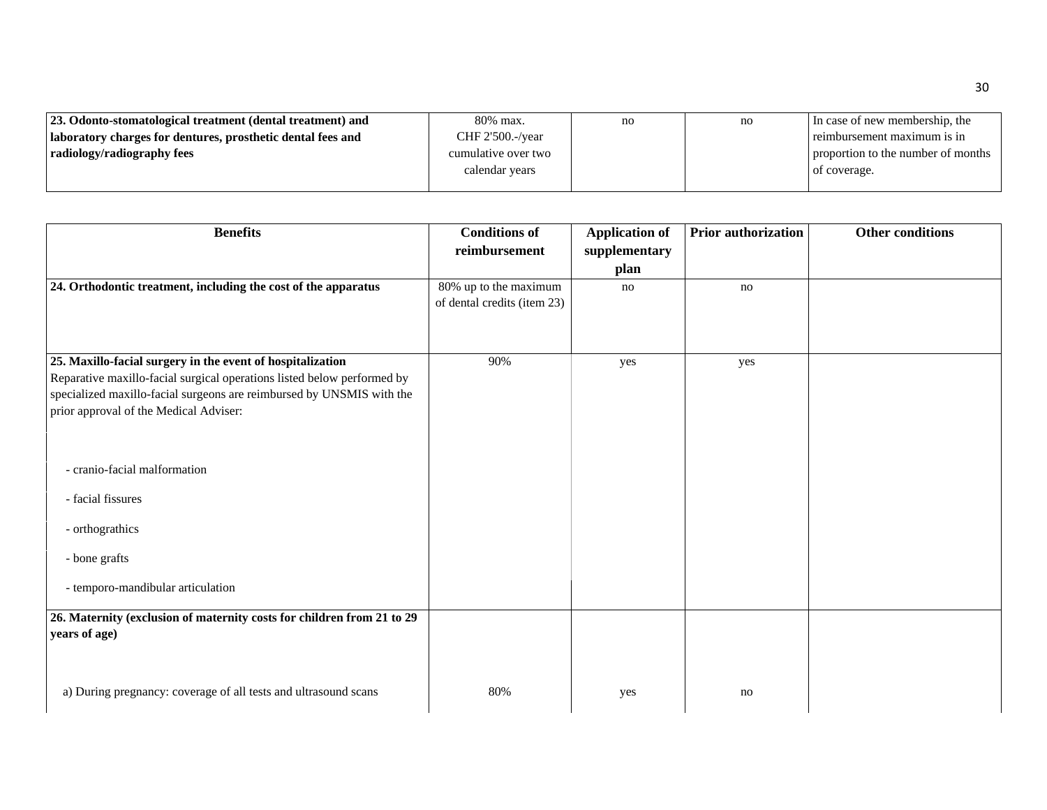| 23. Odonto-stomatological treatment (dental treatment) and  | 80% max.            | no | no | In case of new membership, the     |
|-------------------------------------------------------------|---------------------|----|----|------------------------------------|
| laboratory charges for dentures, prosthetic dental fees and | CHF 2'500.-/year    |    |    | reimbursement maximum is in        |
| radiology/radiography fees                                  | cumulative over two |    |    | proportion to the number of months |
|                                                             | calendar years      |    |    | of coverage.                       |
|                                                             |                     |    |    |                                    |

| <b>Benefits</b>                                                         | <b>Conditions of</b>        | <b>Application of</b> | <b>Prior authorization</b> | Other conditions |
|-------------------------------------------------------------------------|-----------------------------|-----------------------|----------------------------|------------------|
|                                                                         | reimbursement               | supplementary         |                            |                  |
|                                                                         |                             | plan                  |                            |                  |
| 24. Orthodontic treatment, including the cost of the apparatus          | 80% up to the maximum       | no                    | no                         |                  |
|                                                                         | of dental credits (item 23) |                       |                            |                  |
|                                                                         |                             |                       |                            |                  |
|                                                                         |                             |                       |                            |                  |
| 25. Maxillo-facial surgery in the event of hospitalization              | 90%                         | yes                   | yes                        |                  |
| Reparative maxillo-facial surgical operations listed below performed by |                             |                       |                            |                  |
| specialized maxillo-facial surgeons are reimbursed by UNSMIS with the   |                             |                       |                            |                  |
| prior approval of the Medical Adviser:                                  |                             |                       |                            |                  |
|                                                                         |                             |                       |                            |                  |
|                                                                         |                             |                       |                            |                  |
| - cranio-facial malformation                                            |                             |                       |                            |                  |
|                                                                         |                             |                       |                            |                  |
| - facial fissures                                                       |                             |                       |                            |                  |
|                                                                         |                             |                       |                            |                  |
| - orthograthics                                                         |                             |                       |                            |                  |
| - bone grafts                                                           |                             |                       |                            |                  |
|                                                                         |                             |                       |                            |                  |
| - temporo-mandibular articulation                                       |                             |                       |                            |                  |
|                                                                         |                             |                       |                            |                  |
| 26. Maternity (exclusion of maternity costs for children from 21 to 29  |                             |                       |                            |                  |
| years of age)                                                           |                             |                       |                            |                  |
|                                                                         |                             |                       |                            |                  |
|                                                                         |                             |                       |                            |                  |
| a) During pregnancy: coverage of all tests and ultrasound scans         | 80%                         | yes                   | no                         |                  |
|                                                                         |                             |                       |                            |                  |

30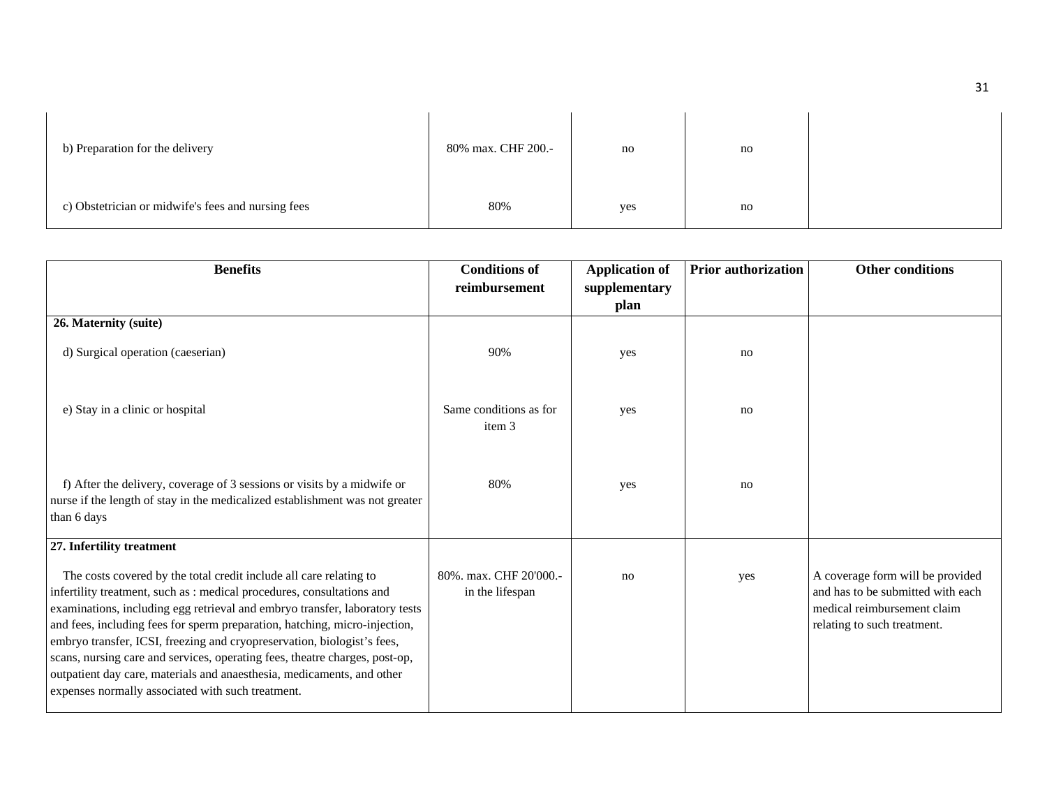| b) Preparation for the delivery                    | 80% max. CHF 200.- | no  | no |  |
|----------------------------------------------------|--------------------|-----|----|--|
| c) Obstetrician or midwife's fees and nursing fees | 80%                | yes | no |  |

| <b>Benefits</b>                                                                                                                                                                                                                                                                                                                                                                                                                                                                                                                                                                                    | <b>Conditions of</b><br>reimbursement     | <b>Application of</b><br>supplementary | <b>Prior authorization</b> | <b>Other conditions</b>                                                                                                             |
|----------------------------------------------------------------------------------------------------------------------------------------------------------------------------------------------------------------------------------------------------------------------------------------------------------------------------------------------------------------------------------------------------------------------------------------------------------------------------------------------------------------------------------------------------------------------------------------------------|-------------------------------------------|----------------------------------------|----------------------------|-------------------------------------------------------------------------------------------------------------------------------------|
|                                                                                                                                                                                                                                                                                                                                                                                                                                                                                                                                                                                                    |                                           | plan                                   |                            |                                                                                                                                     |
| 26. Maternity (suite)                                                                                                                                                                                                                                                                                                                                                                                                                                                                                                                                                                              |                                           |                                        |                            |                                                                                                                                     |
| d) Surgical operation (caeserian)                                                                                                                                                                                                                                                                                                                                                                                                                                                                                                                                                                  | 90%                                       | yes                                    | no                         |                                                                                                                                     |
| e) Stay in a clinic or hospital                                                                                                                                                                                                                                                                                                                                                                                                                                                                                                                                                                    | Same conditions as for<br>item 3          | yes                                    | no                         |                                                                                                                                     |
| f) After the delivery, coverage of 3 sessions or visits by a midwife or<br>nurse if the length of stay in the medicalized establishment was not greater<br>than 6 days                                                                                                                                                                                                                                                                                                                                                                                                                             | 80%                                       | yes                                    | no                         |                                                                                                                                     |
| 27. Infertility treatment                                                                                                                                                                                                                                                                                                                                                                                                                                                                                                                                                                          |                                           |                                        |                            |                                                                                                                                     |
| The costs covered by the total credit include all care relating to<br>infertility treatment, such as : medical procedures, consultations and<br>examinations, including egg retrieval and embryo transfer, laboratory tests<br>and fees, including fees for sperm preparation, hatching, micro-injection,<br>embryo transfer, ICSI, freezing and cryopreservation, biologist's fees,<br>scans, nursing care and services, operating fees, theatre charges, post-op,<br>outpatient day care, materials and anaesthesia, medicaments, and other<br>expenses normally associated with such treatment. | 80%, max. CHF 20'000.-<br>in the lifespan | no                                     | yes                        | A coverage form will be provided<br>and has to be submitted with each<br>medical reimbursement claim<br>relating to such treatment. |